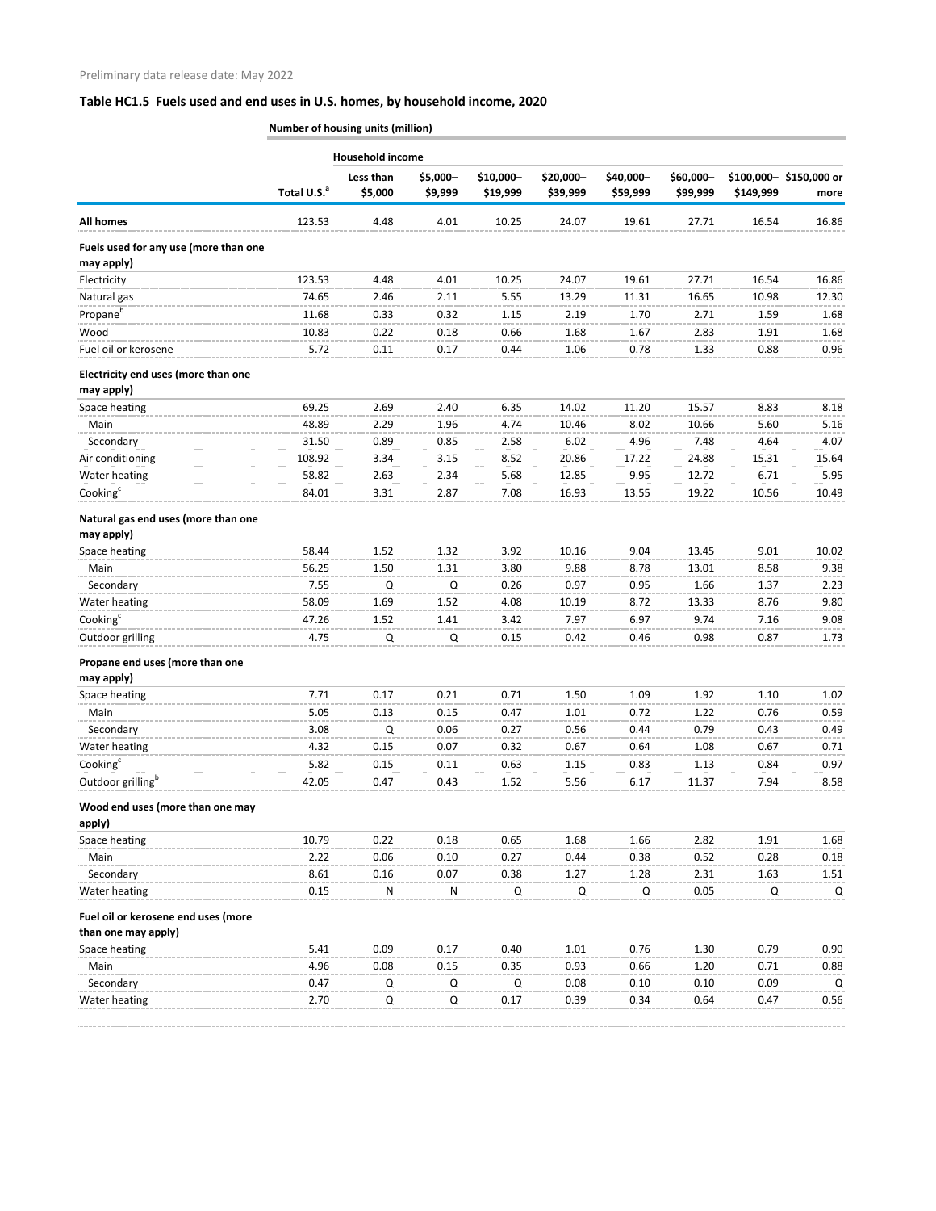## **Table HC1.5 Fuels used and end uses in U.S. homes, by household income, 2020**

**Number of housing units (million)**

|                                                            |                         | <b>Household income</b> |                     |                       |                       |                       |                       |           |                                |
|------------------------------------------------------------|-------------------------|-------------------------|---------------------|-----------------------|-----------------------|-----------------------|-----------------------|-----------|--------------------------------|
|                                                            | Total U.S. <sup>a</sup> | Less than<br>\$5,000    | \$5,000-<br>\$9,999 | \$10,000-<br>\$19,999 | \$20,000-<br>\$39,999 | \$40,000-<br>\$59,999 | \$60,000-<br>\$99,999 | \$149,999 | \$100,000-\$150,000 or<br>more |
| <b>All homes</b>                                           | 123.53                  | 4.48                    | 4.01                | 10.25                 | 24.07                 | 19.61                 | 27.71                 | 16.54     | 16.86                          |
| Fuels used for any use (more than one<br>may apply)        |                         |                         |                     |                       |                       |                       |                       |           |                                |
| Electricity                                                | 123.53                  | 4.48                    | 4.01                | 10.25                 | 24.07                 | 19.61                 | 27.71                 | 16.54     | 16.86                          |
| Natural gas                                                | 74.65                   | 2.46                    | 2.11                | 5.55                  | 13.29                 | 11.31                 | 16.65                 | 10.98     | 12.30                          |
| Propane <sup>b</sup>                                       | 11.68                   | 0.33                    | 0.32                | 1.15                  | 2.19                  | 1.70                  | 2.71                  | 1.59      | 1.68                           |
| Wood                                                       | 10.83                   | 0.22                    | 0.18                | 0.66                  | 1.68                  | 1.67                  | 2.83                  | 1.91      | 1.68                           |
| Fuel oil or kerosene                                       | 5.72                    | 0.11                    | 0.17                | 0.44                  | 1.06                  | 0.78                  | 1.33                  | 0.88      | 0.96                           |
| Electricity end uses (more than one<br>may apply)          |                         |                         |                     |                       |                       |                       |                       |           |                                |
| Space heating                                              | 69.25                   | 2.69                    | 2.40                | 6.35                  | 14.02                 | 11.20                 | 15.57                 | 8.83      | 8.18                           |
| Main                                                       | 48.89                   | 2.29                    | 1.96                | 4.74                  | 10.46                 | 8.02                  | 10.66                 | 5.60      | 5.16                           |
| Secondary                                                  | 31.50                   | 0.89                    | 0.85                | 2.58                  | 6.02                  | 4.96                  | 7.48                  | 4.64      | 4.07                           |
| Air conditioning                                           | 108.92                  | 3.34                    | 3.15                | 8.52                  | 20.86                 | 17.22                 | 24.88                 | 15.31     | 15.64                          |
| Water heating                                              | 58.82                   | 2.63                    | 2.34                | 5.68                  | 12.85                 | 9.95                  | 12.72                 | 6.71      | 5.95                           |
| Cooking <sup>c</sup>                                       | 84.01                   | 3.31                    | 2.87                | 7.08                  | 16.93                 | 13.55                 | 19.22                 | 10.56     | 10.49                          |
| Natural gas end uses (more than one<br>may apply)          |                         |                         |                     |                       |                       |                       |                       |           |                                |
| Space heating                                              | 58.44                   | 1.52                    | 1.32                | 3.92                  | 10.16                 | 9.04                  | 13.45                 | 9.01      | 10.02                          |
| Main                                                       | 56.25                   | 1.50                    | 1.31                | 3.80                  | 9.88                  | 8.78                  | 13.01                 | 8.58      | 9.38                           |
| Secondary                                                  | 7.55                    | Q                       | Q                   | 0.26                  | 0.97                  | 0.95                  | 1.66                  | 1.37      | 2.23                           |
| Water heating                                              | 58.09                   | 1.69                    | 1.52                | 4.08                  | 10.19                 | 8.72                  | 13.33                 | 8.76      | 9.80                           |
| Cooking <sup>c</sup>                                       | 47.26                   | 1.52                    | 1.41                | 3.42                  | 7.97                  | 6.97                  | 9.74                  | 7.16      | 9.08                           |
| Outdoor grilling                                           | 4.75                    | Q                       | Q                   | 0.15                  | 0.42                  | 0.46                  | 0.98                  | 0.87      | 1.73                           |
| Propane end uses (more than one<br>may apply)              |                         |                         |                     |                       |                       |                       |                       |           |                                |
| Space heating                                              | 7.71                    | 0.17                    | 0.21                | 0.71                  | 1.50                  | 1.09                  | 1.92                  | 1.10      | 1.02                           |
| Main                                                       | 5.05                    | 0.13                    | 0.15                | 0.47                  | 1.01                  | 0.72                  | 1.22                  | 0.76      | 0.59                           |
| Secondary                                                  | 3.08                    | Q                       | 0.06                | 0.27                  | 0.56                  | 0.44                  | 0.79                  | 0.43      | 0.49                           |
| Water heating                                              | 4.32                    | 0.15                    | 0.07                | 0.32                  | 0.67                  | 0.64                  | 1.08                  | 0.67      | 0.71                           |
| Cooking <sup>c</sup>                                       | 5.82                    | 0.15                    | 0.11                | 0.63                  | 1.15                  | 0.83                  | 1.13                  | 0.84      | 0.97                           |
| Outdoor grilling <sup>b</sup>                              | 42.05                   | 0.47                    | 0.43                | 1.52                  | 5.56                  | 6.17                  | 11.37                 | 7.94      | 8.58                           |
| Wood end uses (more than one may<br>apply)                 |                         |                         |                     |                       |                       |                       |                       |           |                                |
| Space heating                                              | 10.79                   | 0.22                    | 0.18                | 0.65                  | 1.68                  | 1.66                  | 2.82                  | 1.91      | 1.68                           |
| Main                                                       | 2.22                    | 0.06                    | 0.10                | 0.27                  | 0.44                  | 0.38                  | 0.52                  | 0.28      | 0.18                           |
| Secondary                                                  | 8.61                    | 0.16                    | 0.07                | 0.38                  | 1.27                  | 1.28                  | 2.31                  | 1.63      | 1.51                           |
| Water heating                                              | 0.15                    | N                       | ${\sf N}$           | $\mathsf Q$           | $\mathsf Q$           | Q                     | 0.05                  | Q         | Q                              |
| Fuel oil or kerosene end uses (more<br>than one may apply) |                         |                         |                     |                       |                       |                       |                       |           |                                |
| Space heating                                              | 5.41                    | 0.09                    | 0.17                | 0.40                  | 1.01                  | 0.76                  | 1.30                  | 0.79      | 0.90                           |
| Main                                                       | 4.96                    | 0.08                    | 0.15                | 0.35                  | 0.93                  | 0.66                  | 1.20                  | 0.71      | 0.88                           |
| Secondary                                                  | 0.47                    | Q                       | Q                   | Q                     | 0.08                  | 0.10                  | 0.10                  | 0.09      | Q                              |
| Water heating                                              | 2.70                    | Q                       | Q                   | 0.17                  | 0.39                  | 0.34                  | 0.64                  | 0.47      | 0.56                           |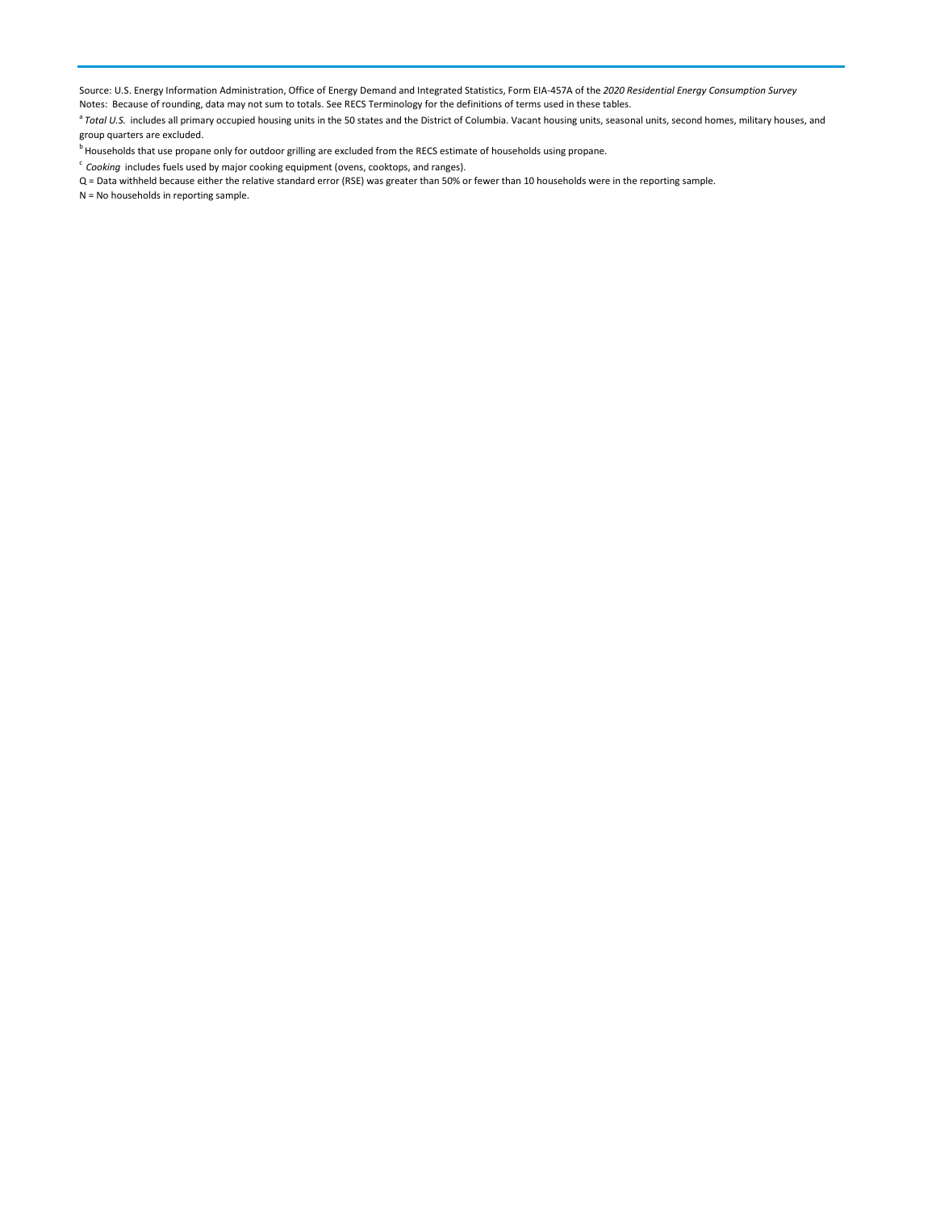Source: U.S. Energy Information Administration, Office of Energy Demand and Integrated Statistics, Form EIA-457A of the *2020 Residential Energy Consumption Survey*

Notes: Because of rounding, data may not sum to totals. See RECS Terminology for the definitions of terms used in these tables.

<sup>a</sup> Total U.S. includes all primary occupied housing units in the 50 states and the District of Columbia. Vacant housing units, seasonal units, second homes, military houses, and group quarters are excluded.

<sup>b</sup> Households that use propane only for outdoor grilling are excluded from the RECS estimate of households using propane.

<sup>c</sup> *Cooking* includes fuels used by major cooking equipment (ovens, cooktops, and ranges).

Q = Data withheld because either the relative standard error (RSE) was greater than 50% or fewer than 10 households were in the reporting sample.

N = No households in reporting sample.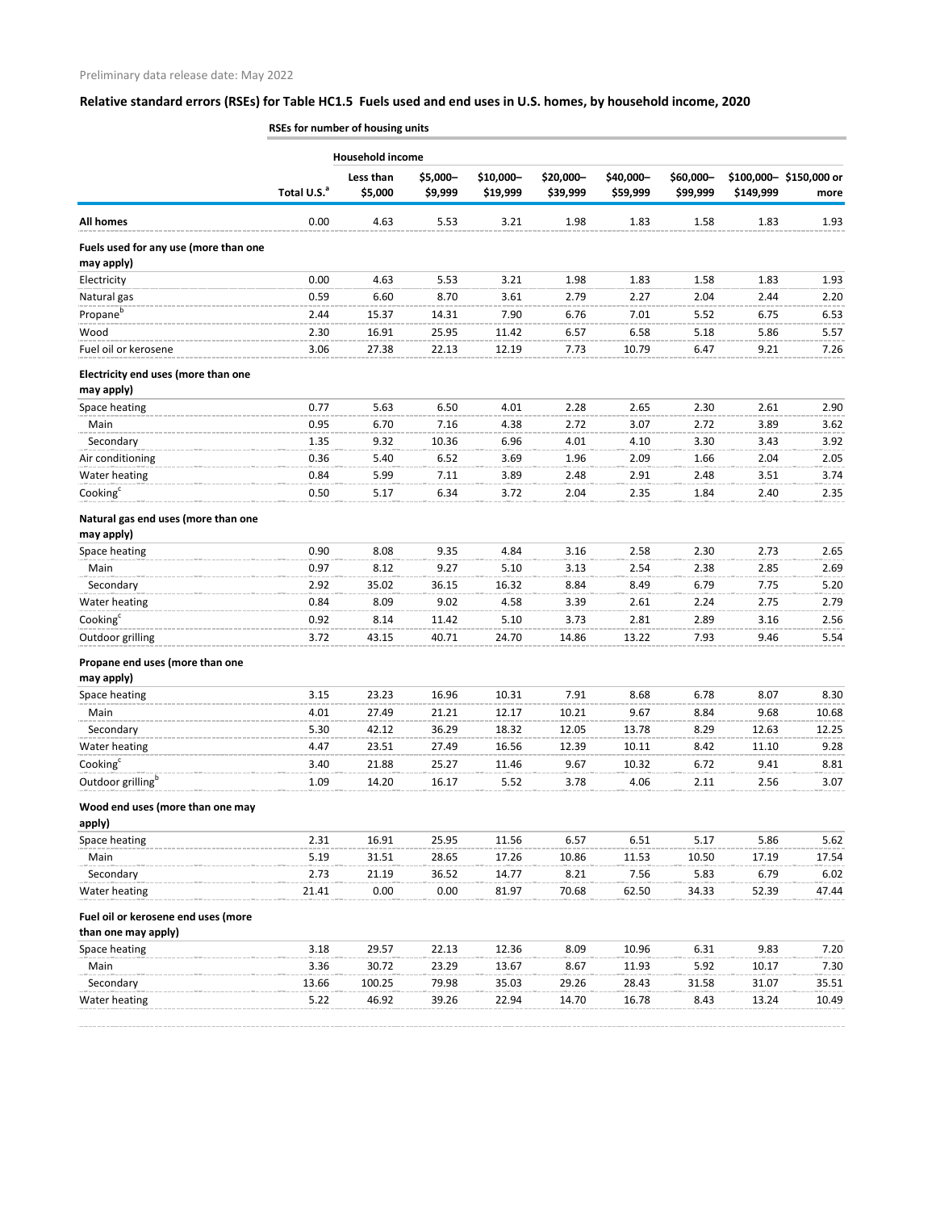## **Relative standard errors (RSEs) for Table HC1.5 Fuels used and end uses in U.S. homes, by household income, 2020**

|                                                            | RSEs for number of housing units |                         |                     |                       |                       |                       |                       |                |                                |
|------------------------------------------------------------|----------------------------------|-------------------------|---------------------|-----------------------|-----------------------|-----------------------|-----------------------|----------------|--------------------------------|
|                                                            |                                  | <b>Household income</b> |                     |                       |                       |                       |                       |                |                                |
|                                                            | Total U.S. <sup>a</sup>          | Less than<br>\$5,000    | \$5,000-<br>\$9,999 | \$10,000-<br>\$19,999 | \$20,000-<br>\$39,999 | \$40,000-<br>\$59,999 | \$60,000-<br>\$99,999 | \$149,999      | \$100,000-\$150,000 or<br>more |
| <b>All homes</b>                                           | 0.00                             | 4.63                    | 5.53                | 3.21                  | 1.98                  | 1.83                  | 1.58                  | 1.83           | 1.93                           |
| Fuels used for any use (more than one<br>may apply)        |                                  |                         |                     |                       |                       |                       |                       |                |                                |
| Electricity                                                | 0.00                             | 4.63                    | 5.53                | 3.21                  | 1.98                  | 1.83                  | 1.58                  | 1.83           | 1.93                           |
| Natural gas                                                | 0.59                             | 6.60                    | 8.70                | 3.61                  | 2.79                  | 2.27                  | 2.04                  | 2.44           | 2.20                           |
| Propane <sup>b</sup>                                       | 2.44                             | 15.37                   | 14.31               | 7.90                  | 6.76                  | 7.01                  | 5.52                  | 6.75           | 6.53                           |
| Wood                                                       | 2.30                             | 16.91                   | 25.95               | 11.42                 | 6.57                  | 6.58                  | 5.18                  | 5.86           | 5.57                           |
| Fuel oil or kerosene                                       | 3.06                             | 27.38                   | 22.13               | 12.19                 | 7.73                  | 10.79                 | 6.47                  | 9.21           | 7.26                           |
| Electricity end uses (more than one<br>may apply)          |                                  |                         |                     |                       |                       |                       |                       |                |                                |
| Space heating                                              | 0.77                             | 5.63                    | 6.50                | 4.01                  | 2.28                  | 2.65                  | 2.30                  | 2.61           | 2.90                           |
| Main                                                       | 0.95                             | 6.70                    | 7.16                | 4.38                  | 2.72                  | 3.07                  | 2.72                  | 3.89           | 3.62                           |
| Secondary                                                  | 1.35                             | 9.32                    | 10.36               | 6.96                  | 4.01                  | 4.10                  | 3.30                  | 3.43           | 3.92                           |
| Air conditioning                                           | 0.36                             | 5.40                    | 6.52                | 3.69                  | 1.96                  | 2.09                  | 1.66                  | 2.04           | 2.05                           |
| Water heating                                              | 0.84                             | 5.99                    | 7.11                | 3.89                  | 2.48                  | 2.91                  | 2.48                  | 3.51           | 3.74                           |
| Cooking <sup>c</sup>                                       | 0.50                             | 5.17                    | 6.34                | 3.72                  | 2.04                  | 2.35                  | 1.84                  | 2.40           | 2.35                           |
| Natural gas end uses (more than one<br>may apply)          |                                  |                         |                     |                       |                       |                       |                       |                |                                |
| Space heating                                              | 0.90                             | 8.08                    | 9.35                | 4.84                  | 3.16                  | 2.58                  | 2.30                  | 2.73           | 2.65                           |
| Main                                                       | 0.97                             | 8.12                    | 9.27                | 5.10                  | 3.13                  | 2.54                  | 2.38                  | 2.85           | 2.69                           |
| Secondary                                                  | 2.92                             | 35.02                   | 36.15               | 16.32                 | 8.84                  | 8.49                  | 6.79                  | 7.75           | 5.20                           |
| Water heating                                              | 0.84                             | 8.09                    | 9.02                | 4.58                  | 3.39                  | 2.61                  | 2.24                  | 2.75           | 2.79                           |
| Cooking <sup>c</sup>                                       | 0.92                             | 8.14                    | 11.42               | 5.10                  | 3.73                  | 2.81                  | 2.89                  | 3.16           | 2.56                           |
| Outdoor grilling                                           | 3.72                             | 43.15                   | 40.71               | 24.70                 | 14.86                 | 13.22                 | 7.93                  | 9.46           | 5.54                           |
| Propane end uses (more than one                            |                                  |                         |                     |                       |                       |                       |                       |                |                                |
| may apply)                                                 |                                  |                         |                     |                       |                       |                       |                       |                |                                |
| Space heating<br>Main                                      | 3.15<br>4.01                     | 23.23<br>27.49          | 16.96<br>21.21      | 10.31<br>12.17        | 7.91<br>10.21         | 8.68<br>9.67          | 6.78<br>8.84          | 8.07<br>9.68   | 8.30<br>10.68                  |
|                                                            |                                  |                         |                     |                       |                       |                       |                       |                |                                |
| Secondary<br>Water heating                                 | 5.30<br>4.47                     | 42.12<br>23.51          | 36.29<br>27.49      | 18.32<br>16.56        | 12.05<br>12.39        | 13.78<br>10.11        | 8.29<br>8.42          | 12.63<br>11.10 | 12.25<br>9.28                  |
| Cooking <sup>c</sup>                                       | 3.40                             |                         |                     |                       |                       |                       |                       |                |                                |
| Outdoor grilling <sup>b</sup>                              | 1.09                             | 21.88<br>14.20          | 25.27<br>16.17      | 11.46<br>5.52         | 9.67<br>3.78          | 10.32<br>4.06         | 6.72<br>2.11          | 9.41<br>2.56   | 8.81<br>3.07                   |
| Wood end uses (more than one may                           |                                  |                         |                     |                       |                       |                       |                       |                |                                |
| apply)                                                     |                                  |                         |                     |                       |                       |                       |                       |                |                                |
| Space heating                                              | 2.31                             | 16.91                   | 25.95               | 11.56                 | 6.57                  | 6.51                  | 5.17                  | 5.86           | 5.62                           |
| Main                                                       | 5.19                             | 31.51                   | 28.65               | 17.26                 | 10.86                 | 11.53                 | 10.50                 | 17.19          | 17.54                          |
| Secondary                                                  | 2.73                             | 21.19                   | 36.52               | 14.77                 | 8.21                  | 7.56                  | 5.83                  | 6.79           | 6.02                           |
| Water heating                                              | 21.41                            | 0.00                    | 0.00                | 81.97                 | 70.68                 | 62.50                 | 34.33                 | 52.39          | 47.44                          |
| Fuel oil or kerosene end uses (more<br>than one may apply) |                                  |                         |                     |                       |                       |                       |                       |                |                                |
| Space heating                                              | 3.18                             | 29.57                   | 22.13               | 12.36                 | 8.09                  | 10.96                 | 6.31                  | 9.83           | 7.20                           |
| Main                                                       | 3.36                             | 30.72                   | 23.29               | 13.67                 | 8.67                  | 11.93                 | 5.92                  | 10.17          | 7.30                           |
| Secondary                                                  | 13.66                            | 100.25                  | 79.98               | 35.03                 | 29.26                 | 28.43                 | 31.58                 | 31.07          | 35.51                          |
| Water heating                                              | 5.22                             | 46.92                   | 39.26               | 22.94                 | 14.70                 | 16.78                 | 8.43                  | 13.24          | 10.49                          |